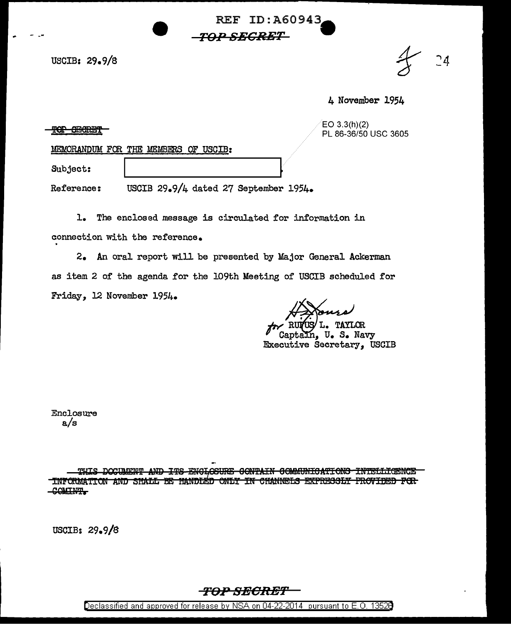USCIB: 29.9/8

 $24$ 

4 November 1954

 $EO 3.3(h)(2)$ PL 86-36/50 USC 3605

MEMORANDUM FOR THE MEMBERS OF USCIB:

Subject:

**TOP OBORBT** 

USCIB 29.9/4 dated 27 September 1954. Reference:

 $\mathbf{L}$ The enclosed message is circulated for information in connection with the reference.

2. An oral report will be presented by Major General Ackerman as item 2 of the agenda for the 109th Meeting of USCIB scheduled for Friday, 12 November 1954.

**REF ID: A60943** 

*TOP SECRET* 

L. TAYLOR In, U. S. Navy Executive Secretary. USCIB

Enclosure  $a/s$ 

THIS DOCUMENT AND ITS ENGLOSURE CONTAIN COMMUNICATIONS INTELLIGENCE INFORMATION AND SHALL BE HANDLED ONLY IN CHANNELS EXPRESSLY PROVIDED FOR COMINT.

USCIB: 29.9/8



Declassified and approved for release by NSA on 04-22-2014 pursuant to E.O. 13528